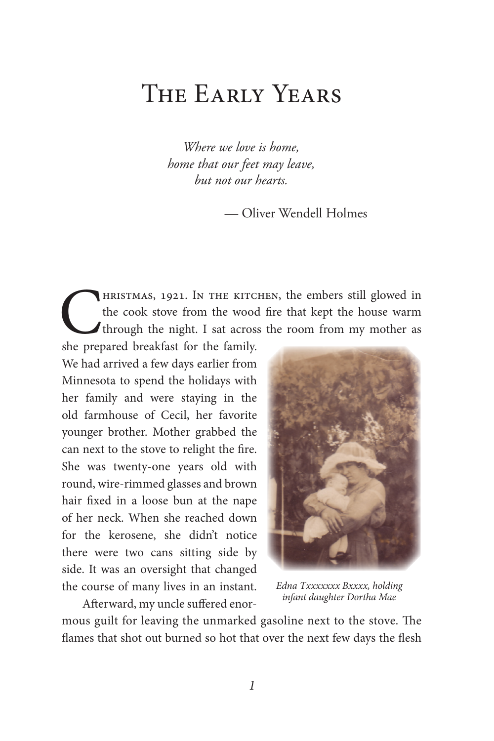## The Early Years

*Where we love is home, home that our feet may leave, but not our hearts.*

— Oliver Wendell Holmes

HRISTMAS, 1921. IN THE KITCHEN, the embers still glowed in the cook stove from the wood fire that kept the house warm through the night. I sat across the room from my mother as she prepared breakfast for the family. the cook stove from the wood fire that kept the house warm through the night. I sat across the room from my mother as

she prepared breakfast for the family. We had arrived a few days earlier from Minnesota to spend the holidays with her family and were staying in the old farmhouse of Cecil, her favorite younger brother. Mother grabbed the can next to the stove to relight the fire. She was twenty-one years old with round, wire-rimmed glasses and brown hair fixed in a loose bun at the nape of her neck. When she reached down for the kerosene, she didn't notice there were two cans sitting side by side. It was an oversight that changed the course of many lives in an instant.

Afterward, my uncle suffered enor-



*Edna Txxxxxxx Bxxxx, holding infant daughter Dortha Mae*

mous guilt for leaving the unmarked gasoline next to the stove. The flames that shot out burned so hot that over the next few days the flesh